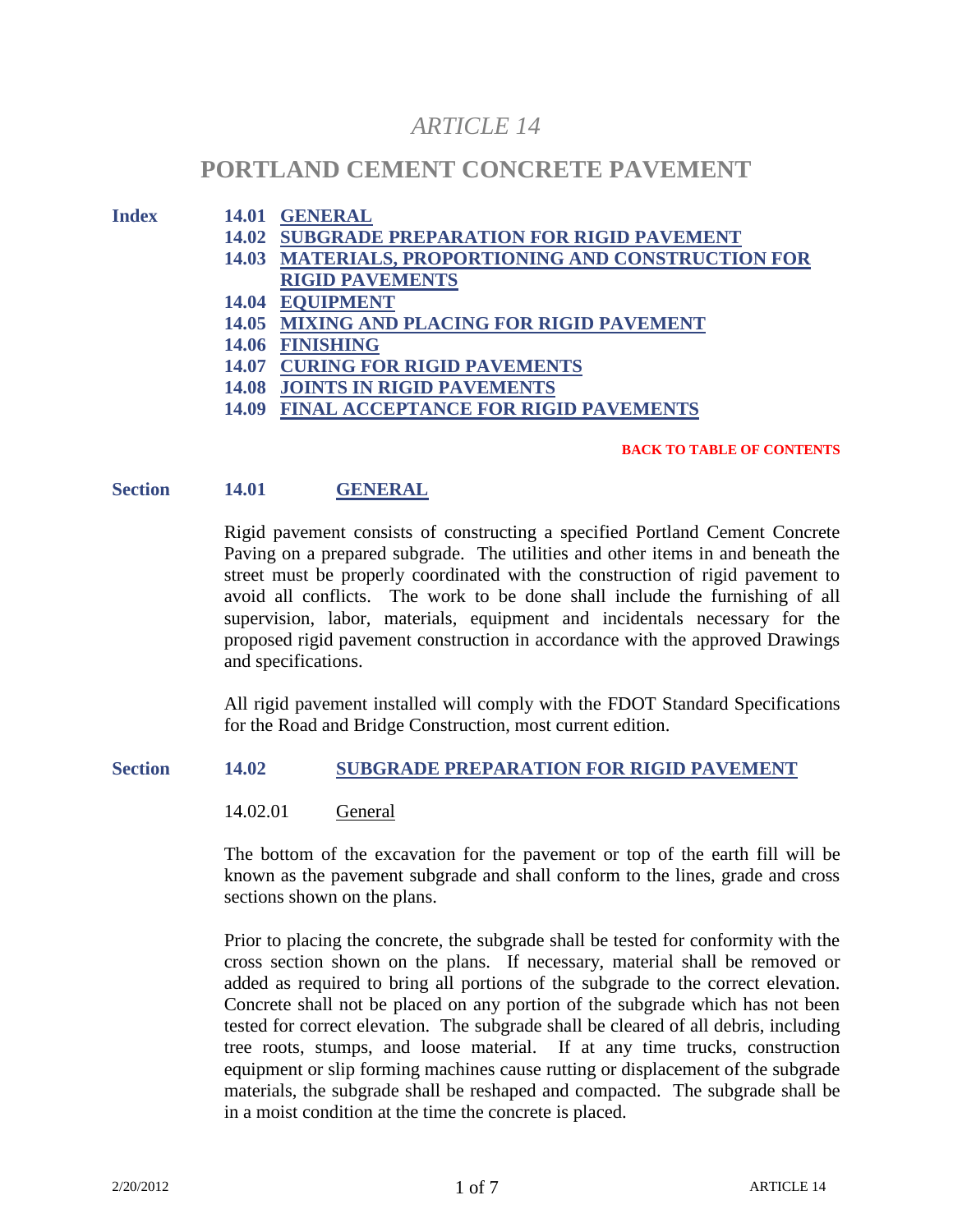# *ARTICLE 14*

# **PORTLAND CEMENT CONCRETE PAVEMENT**

# **Index 14.01 GENERAL**

- **14.02 SUBGRADE PREPARATION FOR RIGID PAVEMENT**
- **14.03 MATERIALS, PROPORTIONING AND CONSTRUCTION FOR RIGID PAVEMENTS**
- **14.04 EQUIPMENT**
- **14.05 MIXING AND PLACING FOR RIGID PAVEMENT**
- **14.06 FINISHING**
- **14.07 CURING FOR RIGID PAVEMENTS**
- **14.08 JOINTS IN RIGID PAVEMENTS**
- **14.09 FINAL ACCEPTANCE FOR RIGID PAVEMENTS**

#### **BACK TO TABLE OF CONTENTS**

## **Section 14.01 GENERAL**

Rigid pavement consists of constructing a specified Portland Cement Concrete Paving on a prepared subgrade. The utilities and other items in and beneath the street must be properly coordinated with the construction of rigid pavement to avoid all conflicts. The work to be done shall include the furnishing of all supervision, labor, materials, equipment and incidentals necessary for the proposed rigid pavement construction in accordance with the approved Drawings and specifications.

All rigid pavement installed will comply with the FDOT Standard Specifications for the Road and Bridge Construction, most current edition.

#### **Section 14.02 SUBGRADE PREPARATION FOR RIGID PAVEMENT**

14.02.01 General

The bottom of the excavation for the pavement or top of the earth fill will be known as the pavement subgrade and shall conform to the lines, grade and cross sections shown on the plans.

Prior to placing the concrete, the subgrade shall be tested for conformity with the cross section shown on the plans. If necessary, material shall be removed or added as required to bring all portions of the subgrade to the correct elevation. Concrete shall not be placed on any portion of the subgrade which has not been tested for correct elevation. The subgrade shall be cleared of all debris, including tree roots, stumps, and loose material. If at any time trucks, construction equipment or slip forming machines cause rutting or displacement of the subgrade materials, the subgrade shall be reshaped and compacted. The subgrade shall be in a moist condition at the time the concrete is placed.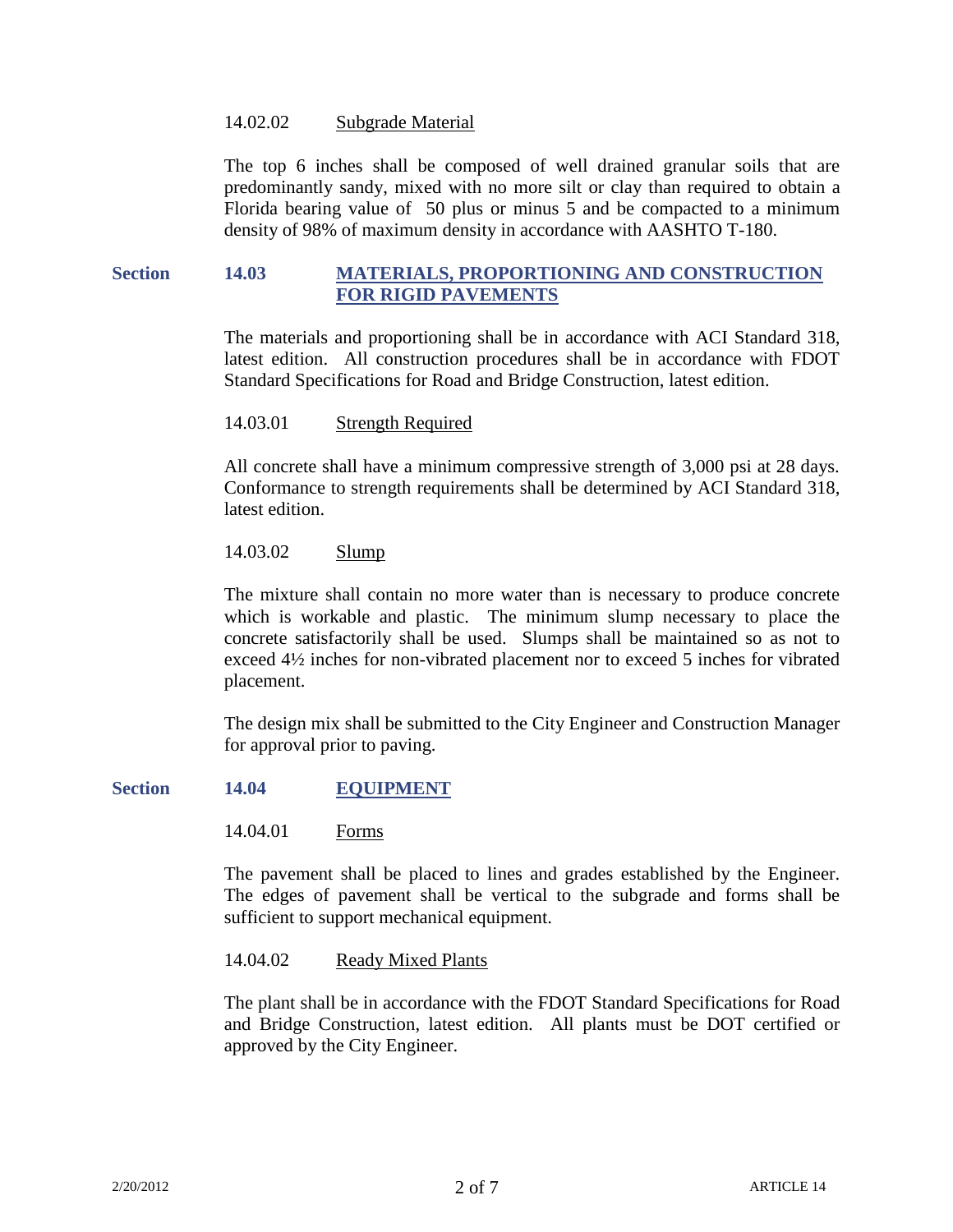#### 14.02.02 Subgrade Material

The top 6 inches shall be composed of well drained granular soils that are predominantly sandy, mixed with no more silt or clay than required to obtain a Florida bearing value of 50 plus or minus 5 and be compacted to a minimum density of 98% of maximum density in accordance with AASHTO T-180.

## **Section 14.03 MATERIALS, PROPORTIONING AND CONSTRUCTION FOR RIGID PAVEMENTS**

The materials and proportioning shall be in accordance with ACI Standard 318, latest edition. All construction procedures shall be in accordance with FDOT Standard Specifications for Road and Bridge Construction, latest edition.

#### 14.03.01 Strength Required

All concrete shall have a minimum compressive strength of 3,000 psi at 28 days. Conformance to strength requirements shall be determined by ACI Standard 318, latest edition.

## 14.03.02 Slump

The mixture shall contain no more water than is necessary to produce concrete which is workable and plastic. The minimum slump necessary to place the concrete satisfactorily shall be used. Slumps shall be maintained so as not to exceed 4½ inches for non-vibrated placement nor to exceed 5 inches for vibrated placement.

The design mix shall be submitted to the City Engineer and Construction Manager for approval prior to paving.

#### **Section 14.04 EQUIPMENT**

14.04.01 Forms

The pavement shall be placed to lines and grades established by the Engineer. The edges of pavement shall be vertical to the subgrade and forms shall be sufficient to support mechanical equipment.

14.04.02 Ready Mixed Plants

The plant shall be in accordance with the FDOT Standard Specifications for Road and Bridge Construction, latest edition. All plants must be DOT certified or approved by the City Engineer.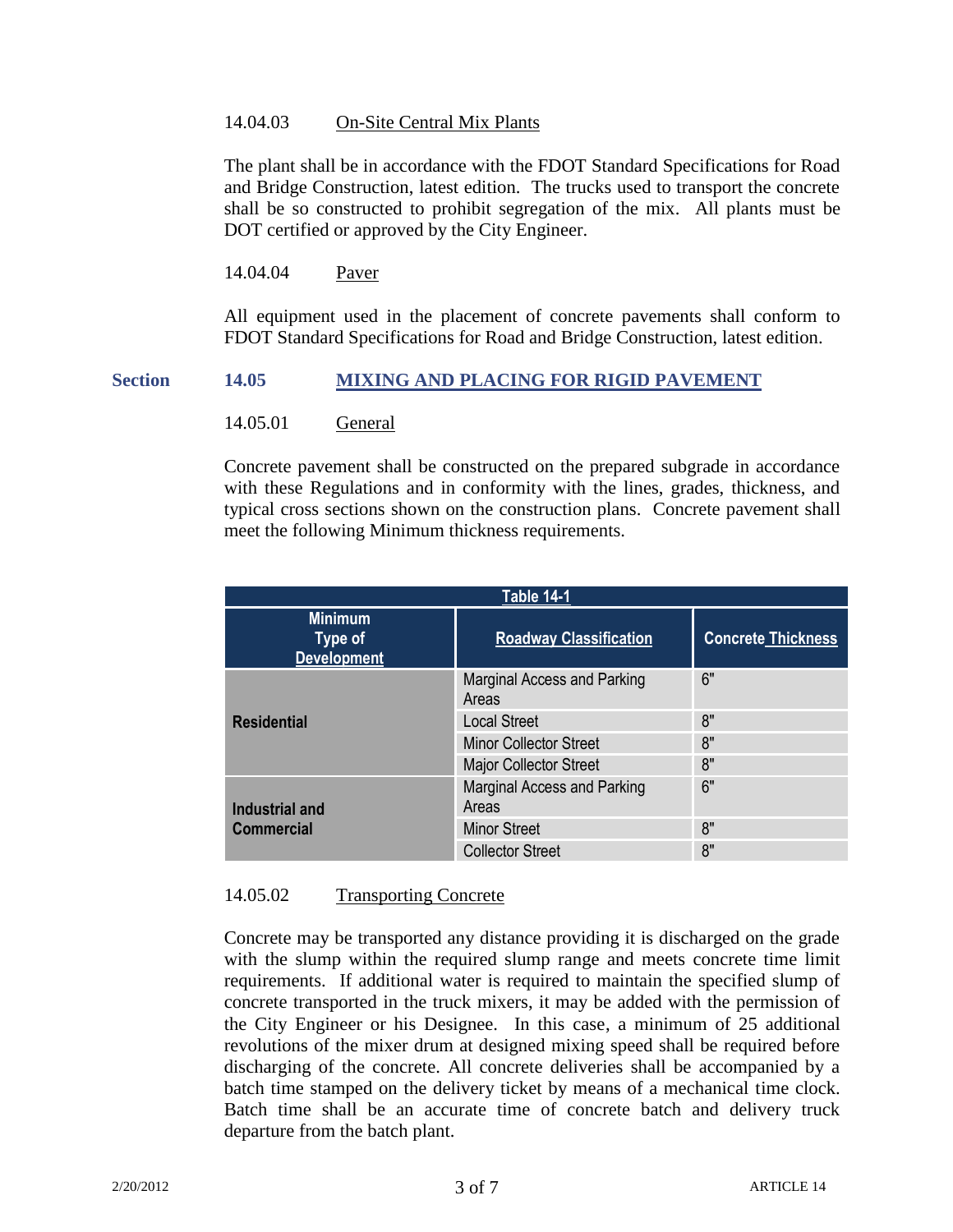#### 14.04.03 On-Site Central Mix Plants

The plant shall be in accordance with the FDOT Standard Specifications for Road and Bridge Construction, latest edition. The trucks used to transport the concrete shall be so constructed to prohibit segregation of the mix. All plants must be DOT certified or approved by the City Engineer.

14.04.04 Paver

All equipment used in the placement of concrete pavements shall conform to FDOT Standard Specifications for Road and Bridge Construction, latest edition.

## **Section 14.05 MIXING AND PLACING FOR RIGID PAVEMENT**

14.05.01 General

Concrete pavement shall be constructed on the prepared subgrade in accordance with these Regulations and in conformity with the lines, grades, thickness, and typical cross sections shown on the construction plans. Concrete pavement shall meet the following Minimum thickness requirements.

| <b>Table 14-1</b>                                      |                                             |                           |
|--------------------------------------------------------|---------------------------------------------|---------------------------|
| <b>Minimum</b><br><b>Type of</b><br><b>Development</b> | <b>Roadway Classification</b>               | <b>Concrete Thickness</b> |
| <b>Residential</b>                                     | <b>Marginal Access and Parking</b><br>Areas | 6"                        |
|                                                        | <b>Local Street</b>                         | 8"                        |
|                                                        | <b>Minor Collector Street</b>               | 8"                        |
|                                                        | <b>Major Collector Street</b>               | 8"                        |
| Industrial and<br><b>Commercial</b>                    | <b>Marginal Access and Parking</b><br>Areas | 6"                        |
|                                                        | <b>Minor Street</b>                         | 8"                        |
|                                                        | <b>Collector Street</b>                     | 8"                        |

## 14.05.02 Transporting Concrete

Concrete may be transported any distance providing it is discharged on the grade with the slump within the required slump range and meets concrete time limit requirements. If additional water is required to maintain the specified slump of concrete transported in the truck mixers, it may be added with the permission of the City Engineer or his Designee. In this case, a minimum of 25 additional revolutions of the mixer drum at designed mixing speed shall be required before discharging of the concrete. All concrete deliveries shall be accompanied by a batch time stamped on the delivery ticket by means of a mechanical time clock. Batch time shall be an accurate time of concrete batch and delivery truck departure from the batch plant.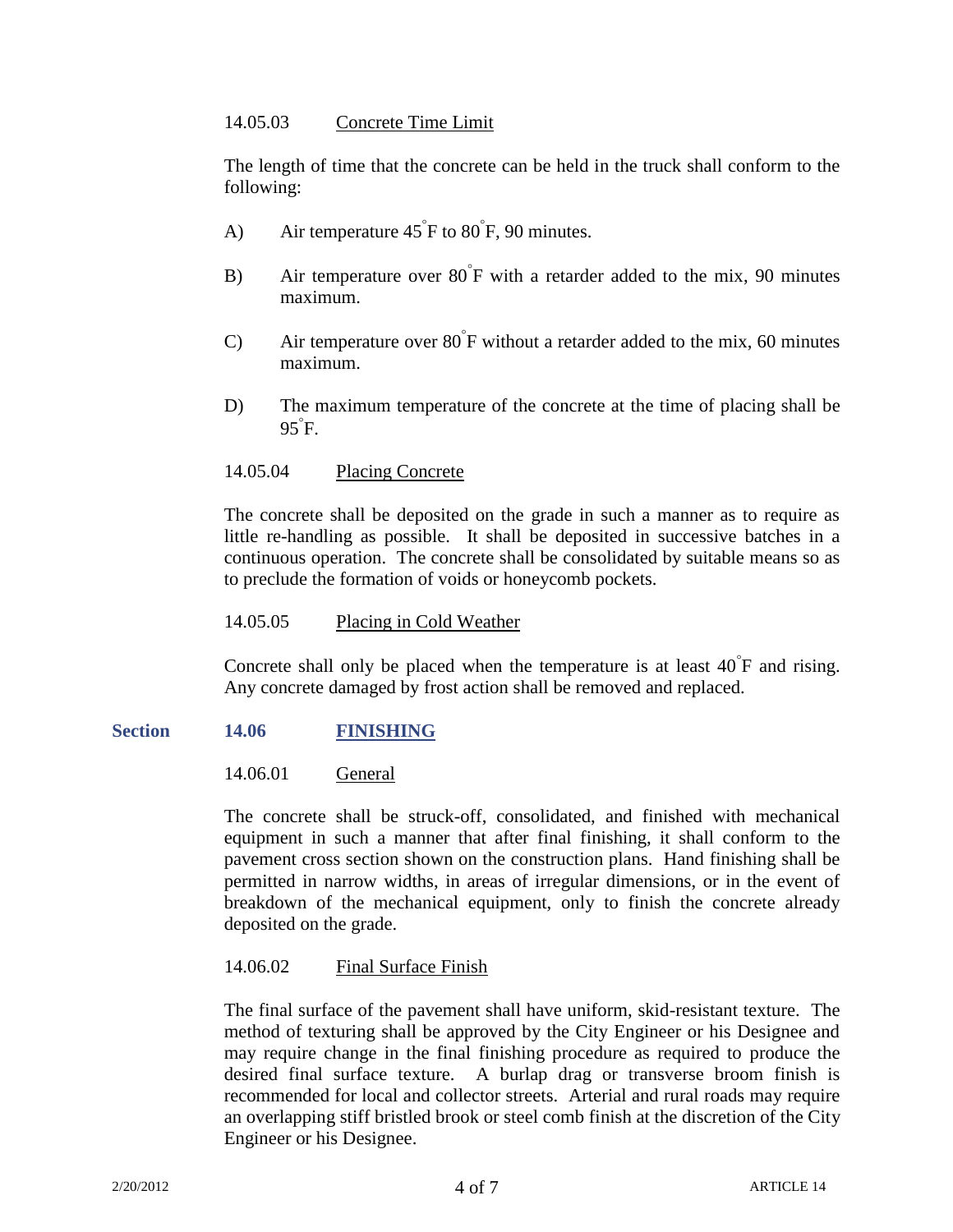## 14.05.03 Concrete Time Limit

The length of time that the concrete can be held in the truck shall conform to the following:

- A) Air temperature  $45^{\degree}$ F to  $80^{\degree}$ F, 90 minutes.
- B) Air temperature over 80<sup>°</sup>F with a retarder added to the mix, 90 minutes maximum.
- C) Air temperature over  $80^{\degree}$ F without a retarder added to the mix, 60 minutes maximum.
- D) The maximum temperature of the concrete at the time of placing shall be 95 F.

## 14.05.04 Placing Concrete

The concrete shall be deposited on the grade in such a manner as to require as little re-handling as possible. It shall be deposited in successive batches in a continuous operation. The concrete shall be consolidated by suitable means so as to preclude the formation of voids or honeycomb pockets.

## 14.05.05 Placing in Cold Weather

Concrete shall only be placed when the temperature is at least  $40^{\degree}F$  and rising. Any concrete damaged by frost action shall be removed and replaced.

## **Section 14.06 FINISHING**

14.06.01 General

The concrete shall be struck-off, consolidated, and finished with mechanical equipment in such a manner that after final finishing, it shall conform to the pavement cross section shown on the construction plans. Hand finishing shall be permitted in narrow widths, in areas of irregular dimensions, or in the event of breakdown of the mechanical equipment, only to finish the concrete already deposited on the grade.

# 14.06.02 Final Surface Finish

The final surface of the pavement shall have uniform, skid-resistant texture. The method of texturing shall be approved by the City Engineer or his Designee and may require change in the final finishing procedure as required to produce the desired final surface texture. A burlap drag or transverse broom finish is recommended for local and collector streets. Arterial and rural roads may require an overlapping stiff bristled brook or steel comb finish at the discretion of the City Engineer or his Designee.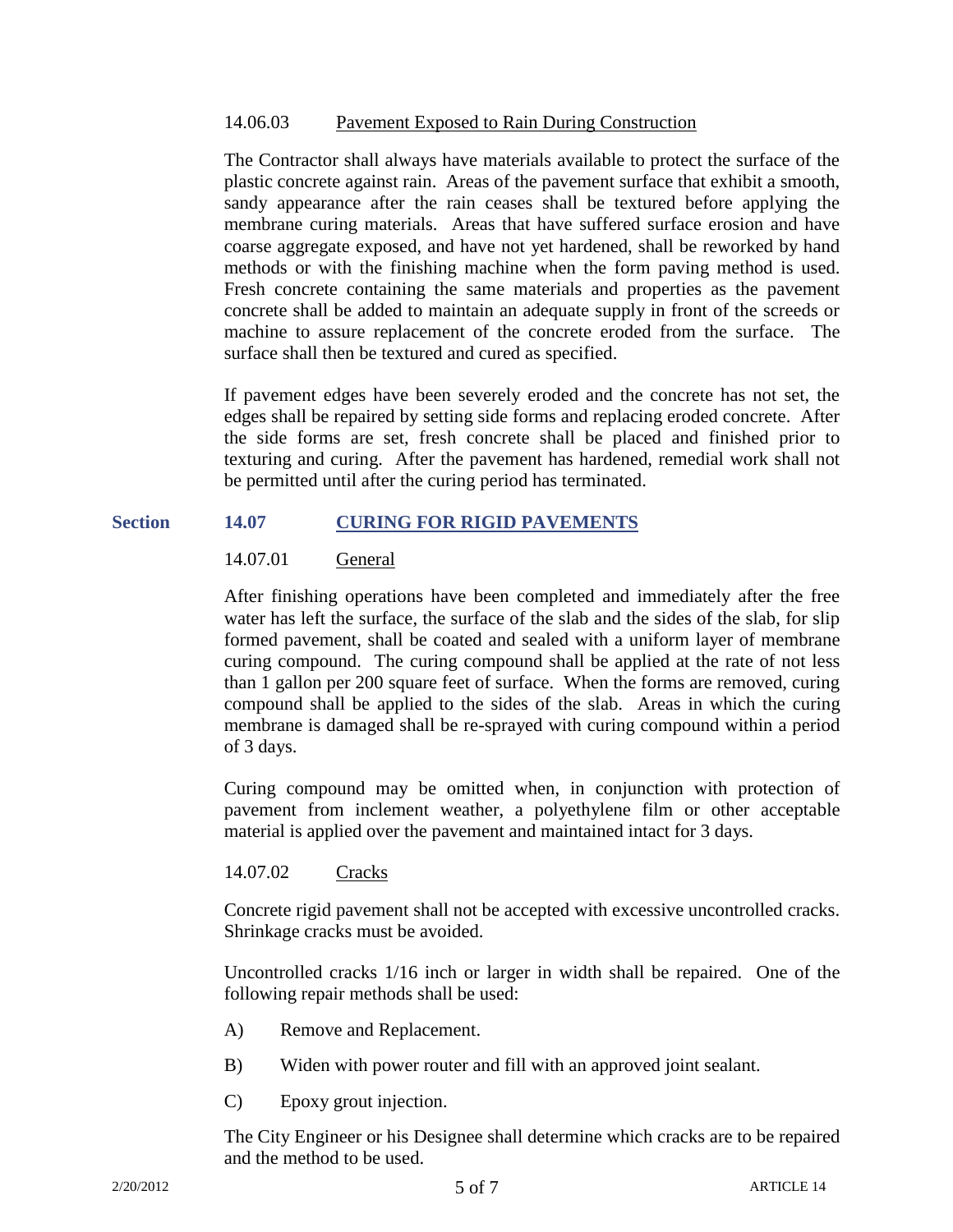#### 14.06.03 Pavement Exposed to Rain During Construction

The Contractor shall always have materials available to protect the surface of the plastic concrete against rain. Areas of the pavement surface that exhibit a smooth, sandy appearance after the rain ceases shall be textured before applying the membrane curing materials. Areas that have suffered surface erosion and have coarse aggregate exposed, and have not yet hardened, shall be reworked by hand methods or with the finishing machine when the form paving method is used. Fresh concrete containing the same materials and properties as the pavement concrete shall be added to maintain an adequate supply in front of the screeds or machine to assure replacement of the concrete eroded from the surface. The surface shall then be textured and cured as specified.

If pavement edges have been severely eroded and the concrete has not set, the edges shall be repaired by setting side forms and replacing eroded concrete. After the side forms are set, fresh concrete shall be placed and finished prior to texturing and curing. After the pavement has hardened, remedial work shall not be permitted until after the curing period has terminated.

## **Section 14.07 CURING FOR RIGID PAVEMENTS**

## 14.07.01 General

After finishing operations have been completed and immediately after the free water has left the surface, the surface of the slab and the sides of the slab, for slip formed pavement, shall be coated and sealed with a uniform layer of membrane curing compound. The curing compound shall be applied at the rate of not less than 1 gallon per 200 square feet of surface. When the forms are removed, curing compound shall be applied to the sides of the slab. Areas in which the curing membrane is damaged shall be re-sprayed with curing compound within a period of 3 days.

Curing compound may be omitted when, in conjunction with protection of pavement from inclement weather, a polyethylene film or other acceptable material is applied over the pavement and maintained intact for 3 days.

# 14.07.02 Cracks

Concrete rigid pavement shall not be accepted with excessive uncontrolled cracks. Shrinkage cracks must be avoided.

Uncontrolled cracks 1/16 inch or larger in width shall be repaired. One of the following repair methods shall be used:

- A) Remove and Replacement.
- B) Widen with power router and fill with an approved joint sealant.
- C) Epoxy grout injection.

The City Engineer or his Designee shall determine which cracks are to be repaired and the method to be used.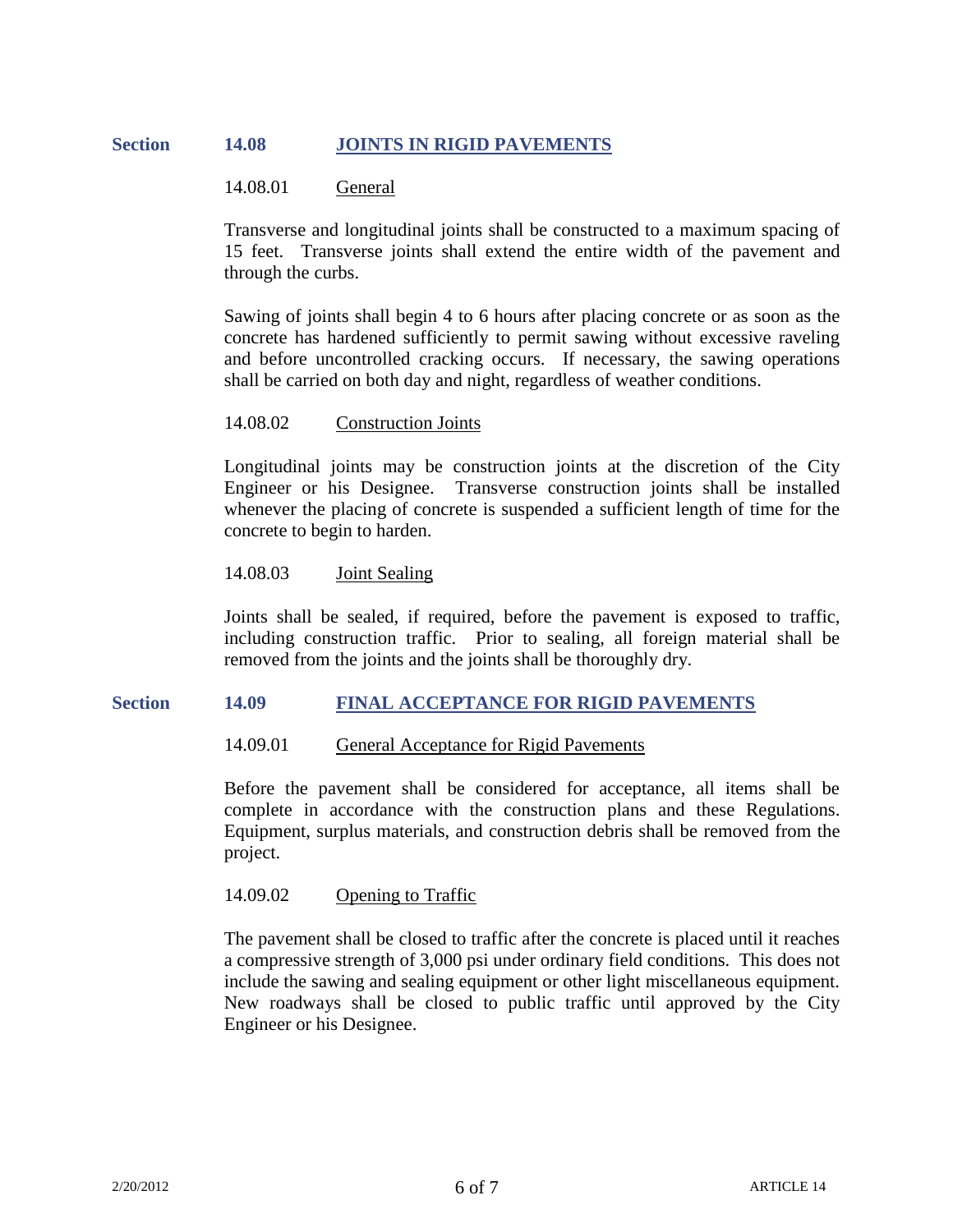# **Section 14.08 JOINTS IN RIGID PAVEMENTS**

## 14.08.01 General

Transverse and longitudinal joints shall be constructed to a maximum spacing of 15 feet. Transverse joints shall extend the entire width of the pavement and through the curbs.

Sawing of joints shall begin 4 to 6 hours after placing concrete or as soon as the concrete has hardened sufficiently to permit sawing without excessive raveling and before uncontrolled cracking occurs. If necessary, the sawing operations shall be carried on both day and night, regardless of weather conditions.

## 14.08.02 Construction Joints

Longitudinal joints may be construction joints at the discretion of the City Engineer or his Designee. Transverse construction joints shall be installed whenever the placing of concrete is suspended a sufficient length of time for the concrete to begin to harden.

#### 14.08.03 Joint Sealing

Joints shall be sealed, if required, before the pavement is exposed to traffic, including construction traffic. Prior to sealing, all foreign material shall be removed from the joints and the joints shall be thoroughly dry.

#### **Section 14.09 FINAL ACCEPTANCE FOR RIGID PAVEMENTS**

#### 14.09.01 General Acceptance for Rigid Pavements

Before the pavement shall be considered for acceptance, all items shall be complete in accordance with the construction plans and these Regulations. Equipment, surplus materials, and construction debris shall be removed from the project.

## 14.09.02 Opening to Traffic

The pavement shall be closed to traffic after the concrete is placed until it reaches a compressive strength of 3,000 psi under ordinary field conditions. This does not include the sawing and sealing equipment or other light miscellaneous equipment. New roadways shall be closed to public traffic until approved by the City Engineer or his Designee.